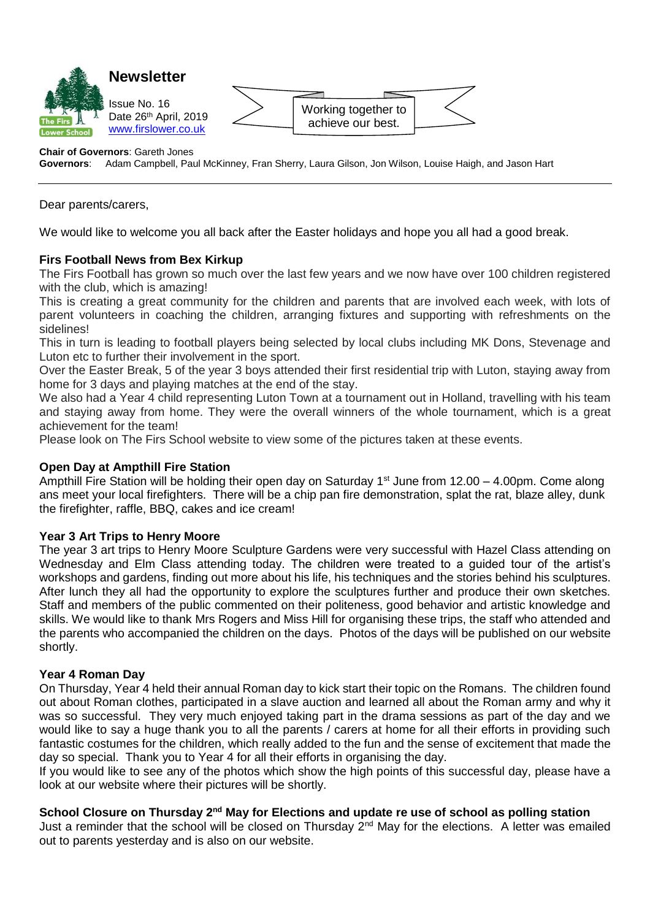

#### **Chair of Governors**: Gareth Jones

**Governors**: Adam Campbell, Paul McKinney, Fran Sherry, Laura Gilson, Jon Wilson, Louise Haigh, and Jason Hart

Dear parents/carers,

We would like to welcome you all back after the Easter holidays and hope you all had a good break.

# **Firs Football News from Bex Kirkup**

The Firs Football has grown so much over the last few years and we now have over 100 children registered with the club, which is amazing!

This is creating a great community for the children and parents that are involved each week, with lots of parent volunteers in coaching the children, arranging fixtures and supporting with refreshments on the sidelines!

This in turn is leading to football players being selected by local clubs including MK Dons, Stevenage and Luton etc to further their involvement in the sport.

Over the Easter Break, 5 of the year 3 boys attended their first residential trip with Luton, staying away from home for 3 days and playing matches at the end of the stay.

We also had a Year 4 child representing Luton Town at a tournament out in Holland, travelling with his team and staying away from home. They were the overall winners of the whole tournament, which is a great achievement for the team!

Please look on The Firs School website to view some of the pictures taken at these events.

#### **Open Day at Ampthill Fire Station**

Ampthill Fire Station will be holding their open day on Saturday 1<sup>st</sup> June from 12.00 – 4.00pm. Come along ans meet your local firefighters. There will be a chip pan fire demonstration, splat the rat, blaze alley, dunk the firefighter, raffle, BBQ, cakes and ice cream!

#### **Year 3 Art Trips to Henry Moore**

The year 3 art trips to Henry Moore Sculpture Gardens were very successful with Hazel Class attending on Wednesday and Elm Class attending today. The children were treated to a guided tour of the artist's workshops and gardens, finding out more about his life, his techniques and the stories behind his sculptures. After lunch they all had the opportunity to explore the sculptures further and produce their own sketches. Staff and members of the public commented on their politeness, good behavior and artistic knowledge and skills. We would like to thank Mrs Rogers and Miss Hill for organising these trips, the staff who attended and the parents who accompanied the children on the days. Photos of the days will be published on our website shortly.

#### **Year 4 Roman Day**

On Thursday, Year 4 held their annual Roman day to kick start their topic on the Romans. The children found out about Roman clothes, participated in a slave auction and learned all about the Roman army and why it was so successful. They very much enjoyed taking part in the drama sessions as part of the day and we would like to say a huge thank you to all the parents / carers at home for all their efforts in providing such fantastic costumes for the children, which really added to the fun and the sense of excitement that made the day so special. Thank you to Year 4 for all their efforts in organising the day.

If you would like to see any of the photos which show the high points of this successful day, please have a look at our website where their pictures will be shortly.

### **School Closure on Thursday 2nd May for Elections and update re use of school as polling station**

Just a reminder that the school will be closed on Thursday  $2^{nd}$  May for the elections. A letter was emailed out to parents yesterday and is also on our website.